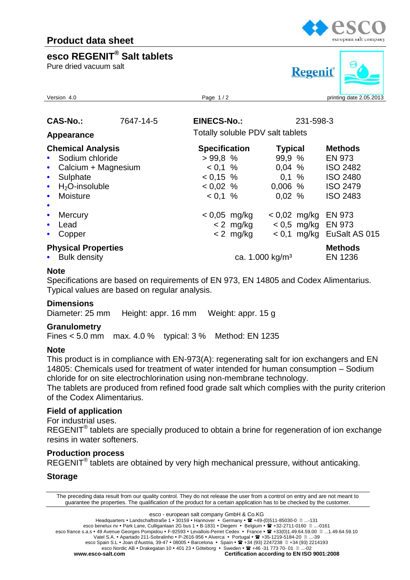### **esco REGENIT® Salt tablets**

Pure dried vacuum salt



# **Regenit**

| Version 4.0                                                                                                                                                                                |  | Page 1/2                                                               |                               |                                                        | printing date 2.05.2013 |                                                                                          |  |
|--------------------------------------------------------------------------------------------------------------------------------------------------------------------------------------------|--|------------------------------------------------------------------------|-------------------------------|--------------------------------------------------------|-------------------------|------------------------------------------------------------------------------------------|--|
| <b>CAS-No.:</b><br>7647-14-5<br>Appearance<br><b>Chemical Analysis</b><br>• Sodium chloride<br>Calcium + Magnesium<br>$\bullet$<br>Sulphate<br>$\bullet$<br>$H_2O$ -insoluble<br>$\bullet$ |  | <b>EINECS-No.:</b>                                                     |                               | 231-598-3                                              |                         |                                                                                          |  |
|                                                                                                                                                                                            |  | Totally soluble PDV salt tablets                                       |                               |                                                        |                         |                                                                                          |  |
|                                                                                                                                                                                            |  | <b>Specification</b><br>>99.8%<br>$< 0.1 \%$<br>$0.15 \%$<br>$0.02 \%$ |                               | <b>Typical</b><br>99.9 %<br>0,04%<br>0.1%<br>$0,006$ % |                         | <b>Methods</b><br><b>EN 973</b><br><b>ISO 2482</b><br><b>ISO 2480</b><br><b>ISO 2479</b> |  |
| Moisture<br>$\bullet$<br>$\bullet$<br><b>Mercury</b><br>$\bullet$<br>Lead<br>$\bullet$                                                                                                     |  | $< 0.1 \%$                                                             | $< 0.05$ mg/kg<br>$< 2$ mg/kg | 0,02%                                                  | $< 0.02$ mg/kg          | <b>ISO 2483</b><br><b>EN 973</b><br>$< 0.5$ mg/kg EN 973                                 |  |
| Copper<br>$\bullet$<br><b>Physical Properties</b><br>• Bulk density                                                                                                                        |  |                                                                        | $< 2$ mg/kg                   | ca. 1.000 kg/m <sup>3</sup>                            |                         | $< 0.1$ mg/kg EuSalt AS 015<br><b>Methods</b><br>EN 1236                                 |  |

#### **Note**

Specifications are based on requirements of EN 973, EN 14805 and Codex Alimentarius. Typical values are based on regular analysis.

#### **Dimensions**

Diameter: 25 mm Height: appr. 16 mm Weight: appr. 15 g

#### **Granulometry**

Fines < 5.0 mm max. 4.0 % typical: 3 % Method: EN 1235

#### **Note**

This product is in compliance with EN-973(A): regenerating salt for ion exchangers and EN 14805: Chemicals used for treatment of water intended for human consumption – Sodium chloride for on site electrochlorination using non-membrane technology.

The tablets are produced from refined food grade salt which complies with the purity criterion of the Codex Alimentarius.

#### **Field of application**

For industrial uses.

REGENIT<sup>®</sup> tablets are specially produced to obtain a brine for regeneration of ion exchange resins in water softeners.

#### **Production process**

REGENIT<sup>®</sup> tablets are obtained by very high mechanical pressure, without anticaking.

#### **Storage**

The preceding data result from our quality control. They do not release the user from a control on entry and are not meant to guarantee the properties. The qualification of the product for a certain application has to be checked by the customer.

esco - european salt company GmbH & Co.KG

Headquarters • Landschaftstraße 1 • 30159 • Hannover • Germany •  $\mathbb{R}$  +49-(0)511-85030-0  $\text{m}$ ...-131 esco benelux nv • Park Lane, Culliganlaan 2G bus 1 • B-1831 • Diegem • Belgium • <sup>22</sup> +32-2711-0160 **....**-0161 esco france s.a.s • 49 Avenue Georges Pompidou • F-92593 • Levallois-Perret Cedex • France •  $\mathbb{R}$  +33(0)1.49.64.59.00  $\mathbb{D}$  ...1.49.64.59.10 Vatel S.A. • Apartado 211-Sobralinho • P-2616-956 • Alverca • Portugal •  $\mathbf{\mathfrak{B}}$  +35-1219-5184-20  $\mathbf{\mathfrak{g}}$  ...-39 esco Spain S.L • Joan d'Àustria, 39-47 • 08005 • Barcelona • Spain • <sup>•</sup> +34 (93) 2247238 <sup>1</sup> +34 (93) 2214193 esco Nordic AB • Drakegatan 10 • 401 23 • Göteborg • Sweden •  $\mathbf{\mathcal{P}}$  +46 -31 773 70- 01  $\mathbf{\mathcal{P}}$ ...-02 **www.esco-salt.com Certification according to EN ISO 9001:2008**